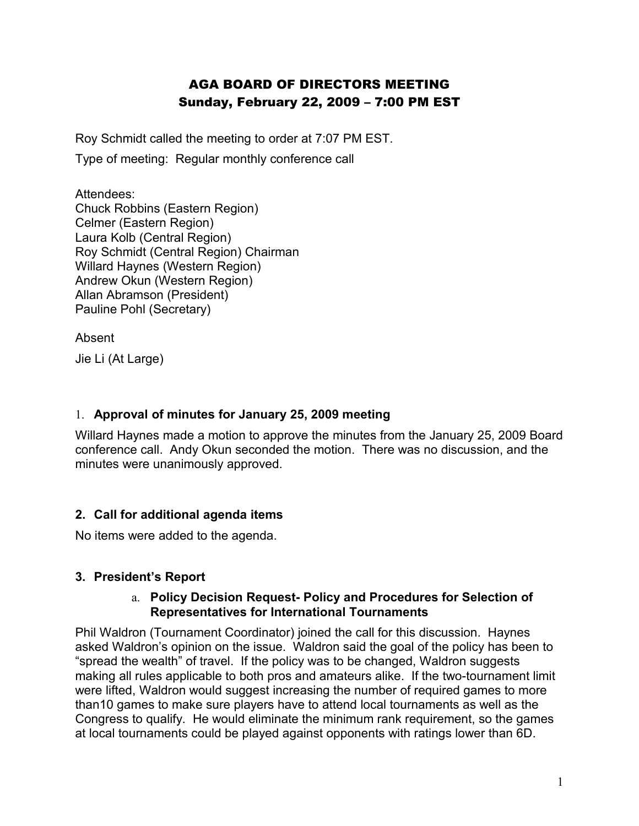# AGA BOARD OF DIRECTORS MEETING Sunday, February 22, 2009 – 7:00 PM EST

Roy Schmidt called the meeting to order at 7:07 PM EST.

Type of meeting: Regular monthly conference call

Attendees: Chuck Robbins (Eastern Region) Celmer (Eastern Region) Laura Kolb (Central Region) Roy Schmidt (Central Region) Chairman Willard Haynes (Western Region) Andrew Okun (Western Region) Allan Abramson (President) Pauline Pohl (Secretary)

Absent

Jie Li (At Large)

#### 1. **Approval of minutes for January 25, 2009 meeting**

Willard Haynes made a motion to approve the minutes from the January 25, 2009 Board conference call. Andy Okun seconded the motion. There was no discussion, and the minutes were unanimously approved.

#### **2. Call for additional agenda items**

No items were added to the agenda.

#### **3. President's Report**

#### a. **Policy Decision Request- Policy and Procedures for Selection of Representatives for International Tournaments**

Phil Waldron (Tournament Coordinator) joined the call for this discussion. Haynes asked Waldron's opinion on the issue. Waldron said the goal of the policy has been to "spread the wealth" of travel. If the policy was to be changed, Waldron suggests making all rules applicable to both pros and amateurs alike. If the two-tournament limit were lifted, Waldron would suggest increasing the number of required games to more than10 games to make sure players have to attend local tournaments as well as the Congress to qualify. He would eliminate the minimum rank requirement, so the games at local tournaments could be played against opponents with ratings lower than 6D.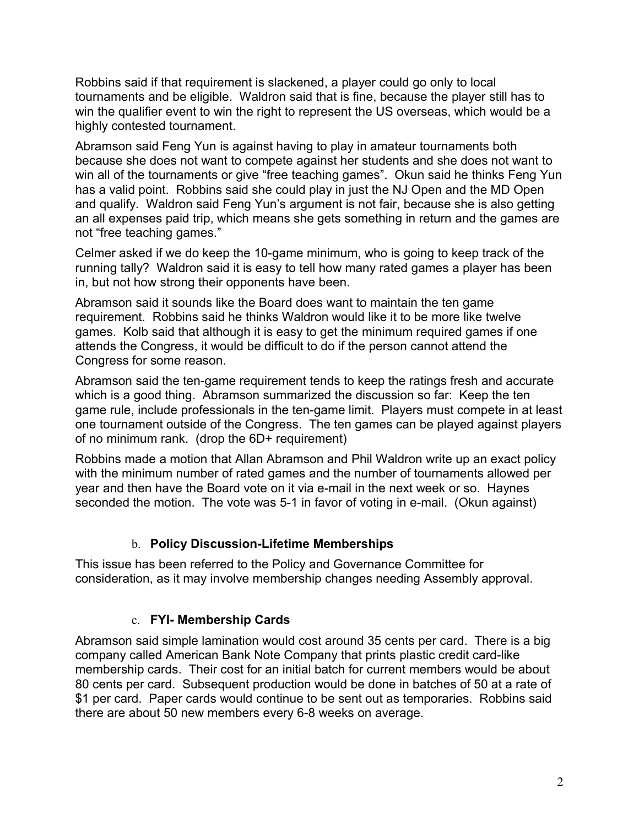Robbins said if that requirement is slackened, a player could go only to local tournaments and be eligible. Waldron said that is fine, because the player still has to win the qualifier event to win the right to represent the US overseas, which would be a highly contested tournament.

Abramson said Feng Yun is against having to play in amateur tournaments both because she does not want to compete against her students and she does not want to win all of the tournaments or give "free teaching games". Okun said he thinks Feng Yun has a valid point. Robbins said she could play in just the NJ Open and the MD Open and qualify. Waldron said Feng Yun's argument is not fair, because she is also getting an all expenses paid trip, which means she gets something in return and the games are not "free teaching games."

Celmer asked if we do keep the 10-game minimum, who is going to keep track of the running tally? Waldron said it is easy to tell how many rated games a player has been in, but not how strong their opponents have been.

Abramson said it sounds like the Board does want to maintain the ten game requirement. Robbins said he thinks Waldron would like it to be more like twelve games. Kolb said that although it is easy to get the minimum required games if one attends the Congress, it would be difficult to do if the person cannot attend the Congress for some reason.

Abramson said the ten-game requirement tends to keep the ratings fresh and accurate which is a good thing. Abramson summarized the discussion so far: Keep the ten game rule, include professionals in the ten-game limit. Players must compete in at least one tournament outside of the Congress. The ten games can be played against players of no minimum rank. (drop the 6D+ requirement)

Robbins made a motion that Allan Abramson and Phil Waldron write up an exact policy with the minimum number of rated games and the number of tournaments allowed per year and then have the Board vote on it via e-mail in the next week or so. Haynes seconded the motion. The vote was 5-1 in favor of voting in e-mail. (Okun against)

#### b. **Policy Discussion-Lifetime Memberships**

This issue has been referred to the Policy and Governance Committee for consideration, as it may involve membership changes needing Assembly approval.

### c. **FYI- Membership Cards**

Abramson said simple lamination would cost around 35 cents per card. There is a big company called American Bank Note Company that prints plastic credit card-like membership cards. Their cost for an initial batch for current members would be about 80 cents per card. Subsequent production would be done in batches of 50 at a rate of \$1 per card. Paper cards would continue to be sent out as temporaries. Robbins said there are about 50 new members every 6-8 weeks on average.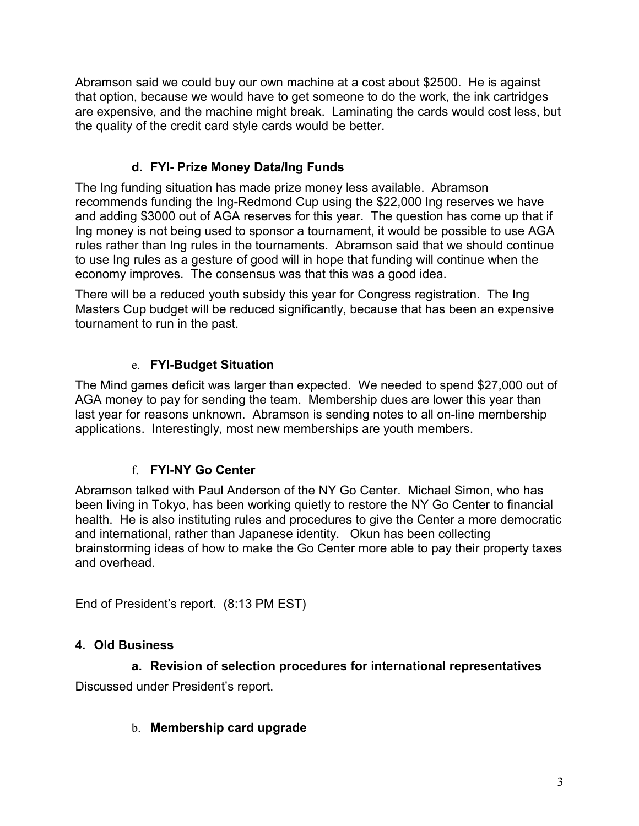Abramson said we could buy our own machine at a cost about \$2500. He is against that option, because we would have to get someone to do the work, the ink cartridges are expensive, and the machine might break. Laminating the cards would cost less, but the quality of the credit card style cards would be better.

## **d. FYI- Prize Money Data/Ing Funds**

The Ing funding situation has made prize money less available. Abramson recommends funding the Ing-Redmond Cup using the \$22,000 Ing reserves we have and adding \$3000 out of AGA reserves for this year. The question has come up that if Ing money is not being used to sponsor a tournament, it would be possible to use AGA rules rather than Ing rules in the tournaments. Abramson said that we should continue to use Ing rules as a gesture of good will in hope that funding will continue when the economy improves. The consensus was that this was a good idea.

There will be a reduced youth subsidy this year for Congress registration. The Ing Masters Cup budget will be reduced significantly, because that has been an expensive tournament to run in the past.

### e. **FYI-Budget Situation**

The Mind games deficit was larger than expected. We needed to spend \$27,000 out of AGA money to pay for sending the team. Membership dues are lower this year than last year for reasons unknown. Abramson is sending notes to all on-line membership applications. Interestingly, most new memberships are youth members.

### f. **FYI-NY Go Center**

Abramson talked with Paul Anderson of the NY Go Center. Michael Simon, who has been living in Tokyo, has been working quietly to restore the NY Go Center to financial health. He is also instituting rules and procedures to give the Center a more democratic and international, rather than Japanese identity. Okun has been collecting brainstorming ideas of how to make the Go Center more able to pay their property taxes and overhead.

End of President's report. (8:13 PM EST)

### **4. Old Business**

#### **a. Revision of selection procedures for international representatives**

Discussed under President's report.

#### b. **Membership card upgrade**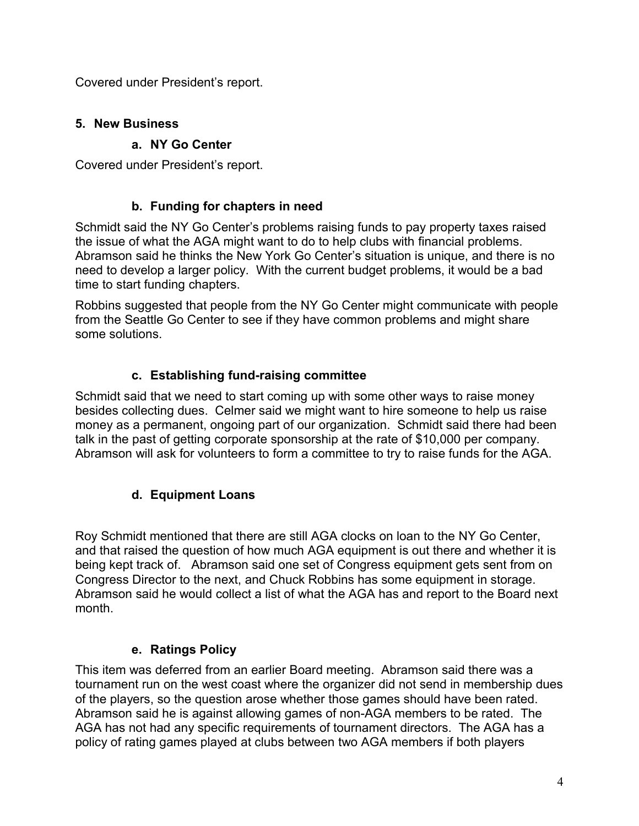Covered under President's report.

## **5. New Business**

## **a. NY Go Center**

Covered under President's report.

## **b. Funding for chapters in need**

Schmidt said the NY Go Center's problems raising funds to pay property taxes raised the issue of what the AGA might want to do to help clubs with financial problems. Abramson said he thinks the New York Go Center's situation is unique, and there is no need to develop a larger policy. With the current budget problems, it would be a bad time to start funding chapters.

Robbins suggested that people from the NY Go Center might communicate with people from the Seattle Go Center to see if they have common problems and might share some solutions.

# **c. Establishing fund-raising committee**

Schmidt said that we need to start coming up with some other ways to raise money besides collecting dues. Celmer said we might want to hire someone to help us raise money as a permanent, ongoing part of our organization. Schmidt said there had been talk in the past of getting corporate sponsorship at the rate of \$10,000 per company. Abramson will ask for volunteers to form a committee to try to raise funds for the AGA.

# **d. Equipment Loans**

Roy Schmidt mentioned that there are still AGA clocks on loan to the NY Go Center, and that raised the question of how much AGA equipment is out there and whether it is being kept track of. Abramson said one set of Congress equipment gets sent from on Congress Director to the next, and Chuck Robbins has some equipment in storage. Abramson said he would collect a list of what the AGA has and report to the Board next month.

# **e. Ratings Policy**

This item was deferred from an earlier Board meeting. Abramson said there was a tournament run on the west coast where the organizer did not send in membership dues of the players, so the question arose whether those games should have been rated. Abramson said he is against allowing games of non-AGA members to be rated. The AGA has not had any specific requirements of tournament directors. The AGA has a policy of rating games played at clubs between two AGA members if both players